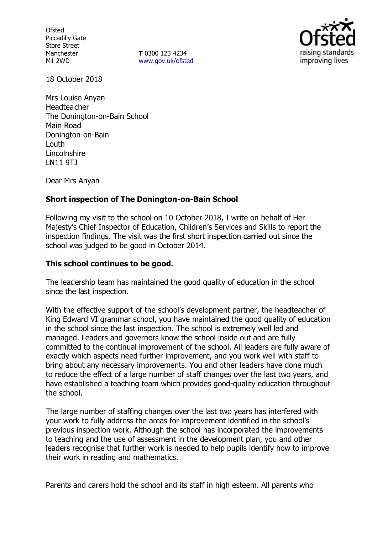**Ofsted** Piccadilly Gate Store Street Manchester M1 2WD

**T** 0300 123 4234 www.gov.uk/ofsted



18 October 2018

Mrs Louise Anyan Headteacher The Donington-on-Bain School Main Road Donington-on-Bain Louth **Lincolnshire** LN11 9TJ

Dear Mrs Anyan

# **Short inspection of The Donington-on-Bain School**

Following my visit to the school on 10 October 2018, I write on behalf of Her Majesty's Chief Inspector of Education, Children's Services and Skills to report the inspection findings. The visit was the first short inspection carried out since the school was judged to be good in October 2014.

### **This school continues to be good.**

The leadership team has maintained the good quality of education in the school since the last inspection.

With the effective support of the school's development partner, the headteacher of King Edward VI grammar school, you have maintained the good quality of education in the school since the last inspection. The school is extremely well led and managed. Leaders and governors know the school inside out and are fully committed to the continual improvement of the school. All leaders are fully aware of exactly which aspects need further improvement, and you work well with staff to bring about any necessary improvements. You and other leaders have done much to reduce the effect of a large number of staff changes over the last two years, and have established a teaching team which provides good-quality education throughout the school.

The large number of staffing changes over the last two years has interfered with your work to fully address the areas for improvement identified in the school's previous inspection work. Although the school has incorporated the improvements to teaching and the use of assessment in the development plan, you and other leaders recognise that further work is needed to help pupils identify how to improve their work in reading and mathematics.

Parents and carers hold the school and its staff in high esteem. All parents who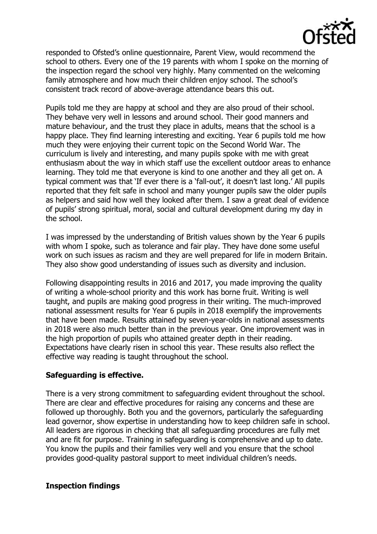

responded to Ofsted's online questionnaire, Parent View, would recommend the school to others. Every one of the 19 parents with whom I spoke on the morning of the inspection regard the school very highly. Many commented on the welcoming family atmosphere and how much their children enjoy school. The school's consistent track record of above-average attendance bears this out.

Pupils told me they are happy at school and they are also proud of their school. They behave very well in lessons and around school. Their good manners and mature behaviour, and the trust they place in adults, means that the school is a happy place. They find learning interesting and exciting. Year 6 pupils told me how much they were enjoying their current topic on the Second World War. The curriculum is lively and interesting, and many pupils spoke with me with great enthusiasm about the way in which staff use the excellent outdoor areas to enhance learning. They told me that everyone is kind to one another and they all get on. A typical comment was that 'If ever there is a 'fall-out', it doesn't last long.' All pupils reported that they felt safe in school and many younger pupils saw the older pupils as helpers and said how well they looked after them. I saw a great deal of evidence of pupils' strong spiritual, moral, social and cultural development during my day in the school.

I was impressed by the understanding of British values shown by the Year 6 pupils with whom I spoke, such as tolerance and fair play. They have done some useful work on such issues as racism and they are well prepared for life in modern Britain. They also show good understanding of issues such as diversity and inclusion.

Following disappointing results in 2016 and 2017, you made improving the quality of writing a whole-school priority and this work has borne fruit. Writing is well taught, and pupils are making good progress in their writing. The much-improved national assessment results for Year 6 pupils in 2018 exemplify the improvements that have been made. Results attained by seven-year-olds in national assessments in 2018 were also much better than in the previous year. One improvement was in the high proportion of pupils who attained greater depth in their reading. Expectations have clearly risen in school this year. These results also reflect the effective way reading is taught throughout the school.

# **Safeguarding is effective.**

There is a very strong commitment to safeguarding evident throughout the school. There are clear and effective procedures for raising any concerns and these are followed up thoroughly. Both you and the governors, particularly the safeguarding lead governor, show expertise in understanding how to keep children safe in school. All leaders are rigorous in checking that all safeguarding procedures are fully met and are fit for purpose. Training in safeguarding is comprehensive and up to date. You know the pupils and their families very well and you ensure that the school provides good-quality pastoral support to meet individual children's needs.

# **Inspection findings**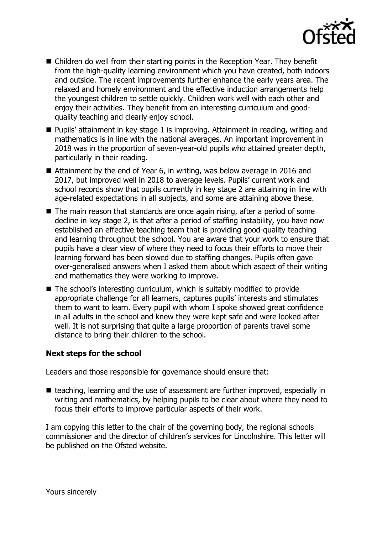

- Children do well from their starting points in the Reception Year. They benefit from the high-quality learning environment which you have created, both indoors and outside. The recent improvements further enhance the early years area. The relaxed and homely environment and the effective induction arrangements help the youngest children to settle quickly. Children work well with each other and enjoy their activities. They benefit from an interesting curriculum and goodquality teaching and clearly enjoy school.
- Pupils' attainment in key stage 1 is improving. Attainment in reading, writing and mathematics is in line with the national averages. An important improvement in 2018 was in the proportion of seven-year-old pupils who attained greater depth, particularly in their reading.
- Attainment by the end of Year 6, in writing, was below average in 2016 and 2017, but improved well in 2018 to average levels. Pupils' current work and school records show that pupils currently in key stage 2 are attaining in line with age-related expectations in all subjects, and some are attaining above these.
- The main reason that standards are once again rising, after a period of some decline in key stage 2, is that after a period of staffing instability, you have now established an effective teaching team that is providing good-quality teaching and learning throughout the school. You are aware that your work to ensure that pupils have a clear view of where they need to focus their efforts to move their learning forward has been slowed due to staffing changes. Pupils often gave over-generalised answers when I asked them about which aspect of their writing and mathematics they were working to improve.
- The school's interesting curriculum, which is suitably modified to provide appropriate challenge for all learners, captures pupils' interests and stimulates them to want to learn. Every pupil with whom I spoke showed great confidence in all adults in the school and knew they were kept safe and were looked after well. It is not surprising that quite a large proportion of parents travel some distance to bring their children to the school.

# **Next steps for the school**

Leaders and those responsible for governance should ensure that:

 $\blacksquare$  teaching, learning and the use of assessment are further improved, especially in writing and mathematics, by helping pupils to be clear about where they need to focus their efforts to improve particular aspects of their work.

I am copying this letter to the chair of the governing body, the regional schools commissioner and the director of children's services for Lincolnshire. This letter will be published on the Ofsted website.